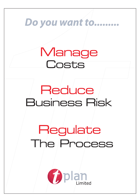